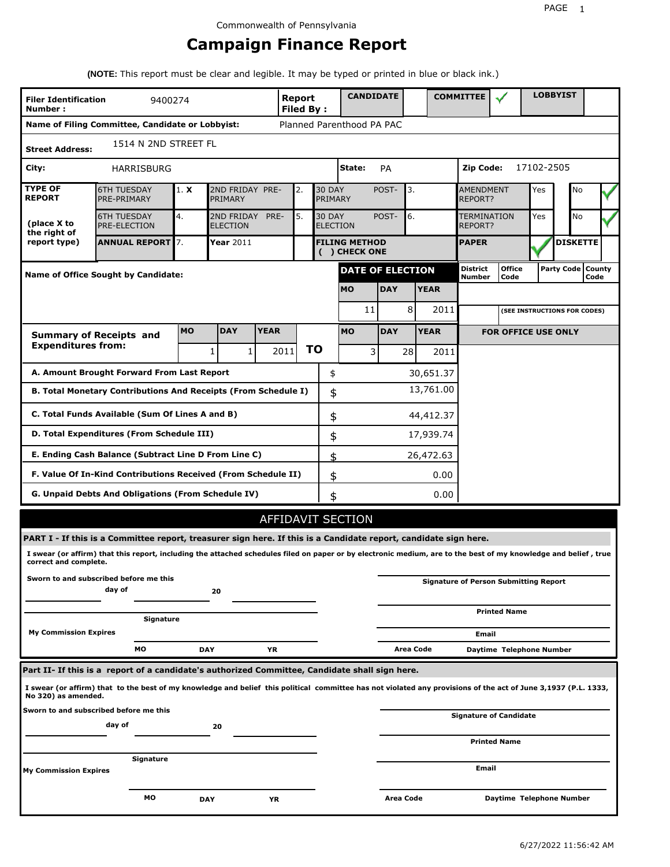# **Campaign Finance Report**

**(NOTE:** This report must be clear and legible. It may be typed or printed in blue or black ink.)

| <b>Filer Identification</b><br>Number: | 9400274                                                                                                                                                                                                                                                                             |            |                               |             | Report<br><b>Filed By:</b> |    |                          | <b>CANDIDATE</b>                                |            |           |             | <b>COMMITTEE</b>                           |                                              |            | <b>LOBBYIST</b>              |                             |
|----------------------------------------|-------------------------------------------------------------------------------------------------------------------------------------------------------------------------------------------------------------------------------------------------------------------------------------|------------|-------------------------------|-------------|----------------------------|----|--------------------------|-------------------------------------------------|------------|-----------|-------------|--------------------------------------------|----------------------------------------------|------------|------------------------------|-----------------------------|
|                                        | Name of Filing Committee, Candidate or Lobbyist:                                                                                                                                                                                                                                    |            |                               |             |                            |    |                          | Planned Parenthood PA PAC                       |            |           |             |                                            |                                              |            |                              |                             |
| <b>Street Address:</b>                 | 1514 N 2ND STREET FL                                                                                                                                                                                                                                                                |            |                               |             |                            |    |                          |                                                 |            |           |             |                                            |                                              |            |                              |                             |
| City:                                  | <b>HARRISBURG</b>                                                                                                                                                                                                                                                                   |            |                               |             |                            |    |                          | State:                                          | PA         |           |             | Zip Code:                                  |                                              | 17102-2505 |                              |                             |
| <b>TYPE OF</b><br><b>REPORT</b>        | <b>6TH TUESDAY</b><br>PRE-PRIMARY                                                                                                                                                                                                                                                   | 1. X       | 2ND FRIDAY PRE-<br>PRIMARY    |             | 2.                         |    | <b>30 DAY</b><br>PRIMARY |                                                 | POST-      | 3.        |             | <b>AMENDMENT</b><br>REPORT?                |                                              | Yes        | No                           |                             |
| (place X to<br>the right of            | <b>6TH TUESDAY</b><br><b>PRE-ELECTION</b>                                                                                                                                                                                                                                           | 4.         | 2ND FRIDAY<br><b>ELECTION</b> | PRE-        | 5.                         |    |                          | <b>30 DAY</b><br>6.<br>POST-<br><b>ELECTION</b> |            |           |             | <b>No</b><br>TERMINATION<br>Yes<br>REPORT? |                                              |            |                              |                             |
| report type)                           | <b>ANNUAL REPORT 7.</b>                                                                                                                                                                                                                                                             |            | <b>Year 2011</b>              |             |                            |    |                          | <b>FILING METHOD</b><br>( ) CHECK ONE           |            |           |             | <b>PAPER</b>                               |                                              |            | <b>DISKETTE</b>              |                             |
|                                        | <b>Name of Office Sought by Candidate:</b>                                                                                                                                                                                                                                          |            |                               |             |                            |    |                          | <b>DATE OF ELECTION</b>                         |            |           |             | District<br>Number                         | <b>Office</b><br>Code                        |            |                              | Party Code   County<br>Code |
|                                        |                                                                                                                                                                                                                                                                                     |            |                               |             |                            |    |                          | <b>MO</b>                                       | <b>DAY</b> |           | <b>YEAR</b> |                                            |                                              |            |                              |                             |
|                                        |                                                                                                                                                                                                                                                                                     |            |                               |             |                            |    |                          | 11                                              |            | 8         | 2011        |                                            |                                              |            | (SEE INSTRUCTIONS FOR CODES) |                             |
|                                        | <b>Summary of Receipts and</b>                                                                                                                                                                                                                                                      | <b>MO</b>  | <b>DAY</b>                    | <b>YEAR</b> |                            |    |                          | <b>MO</b>                                       | <b>DAY</b> |           | <b>YEAR</b> |                                            | <b>FOR OFFICE USE ONLY</b>                   |            |                              |                             |
| <b>Expenditures from:</b>              |                                                                                                                                                                                                                                                                                     |            | 1<br>1                        |             | 2011                       | ΤO |                          | 3                                               |            | 28        | 2011        |                                            |                                              |            |                              |                             |
|                                        | A. Amount Brought Forward From Last Report                                                                                                                                                                                                                                          |            |                               |             |                            |    | \$                       |                                                 |            |           | 30,651.37   |                                            |                                              |            |                              |                             |
|                                        | B. Total Monetary Contributions And Receipts (From Schedule I)                                                                                                                                                                                                                      |            |                               |             |                            |    | \$                       |                                                 |            |           | 13,761.00   |                                            |                                              |            |                              |                             |
|                                        | C. Total Funds Available (Sum Of Lines A and B)                                                                                                                                                                                                                                     |            |                               |             |                            |    | \$                       |                                                 |            |           | 44,412.37   |                                            |                                              |            |                              |                             |
|                                        | D. Total Expenditures (From Schedule III)                                                                                                                                                                                                                                           |            |                               |             |                            |    | \$                       |                                                 |            |           | 17,939.74   |                                            |                                              |            |                              |                             |
|                                        | E. Ending Cash Balance (Subtract Line D From Line C)                                                                                                                                                                                                                                |            |                               |             |                            |    | \$                       |                                                 |            |           | 26,472.63   |                                            |                                              |            |                              |                             |
|                                        | F. Value Of In-Kind Contributions Received (From Schedule II)                                                                                                                                                                                                                       |            |                               |             |                            |    | \$                       |                                                 |            |           | 0.00        |                                            |                                              |            |                              |                             |
|                                        | G. Unpaid Debts And Obligations (From Schedule IV)                                                                                                                                                                                                                                  |            |                               |             |                            |    | \$                       |                                                 |            |           | 0.00        |                                            |                                              |            |                              |                             |
|                                        |                                                                                                                                                                                                                                                                                     |            |                               |             |                            |    |                          | AFFIDAVIT SECTION                               |            |           |             |                                            |                                              |            |                              |                             |
|                                        | PART I - If this is a Committee report, treasurer sign here. If this is a Candidate report, candidate sign here.<br>I swear (or affirm) that this report, including the attached schedules filed on paper or by electronic medium, are to the best of my knowledge and belief, true |            |                               |             |                            |    |                          |                                                 |            |           |             |                                            |                                              |            |                              |                             |
| correct and complete.                  |                                                                                                                                                                                                                                                                                     |            |                               |             |                            |    |                          |                                                 |            |           |             |                                            |                                              |            |                              |                             |
|                                        | Sworn to and subscribed before me this<br>day of                                                                                                                                                                                                                                    |            | 20                            |             |                            |    |                          |                                                 |            |           |             |                                            | <b>Signature of Person Submitting Report</b> |            |                              |                             |
|                                        | Signature                                                                                                                                                                                                                                                                           |            |                               |             |                            |    |                          |                                                 |            |           |             |                                            | <b>Printed Name</b>                          |            |                              |                             |
| <b>My Commission Expires</b>           |                                                                                                                                                                                                                                                                                     |            |                               |             |                            |    |                          |                                                 |            |           |             | Email                                      |                                              |            |                              |                             |
|                                        | МO                                                                                                                                                                                                                                                                                  | <b>DAY</b> |                               | ΥR          |                            |    |                          |                                                 |            | Area Code |             |                                            | Daytime Telephone Number                     |            |                              |                             |
|                                        | Part II- If this is a report of a candidate's authorized Committee, Candidate shall sign here.                                                                                                                                                                                      |            |                               |             |                            |    |                          |                                                 |            |           |             |                                            |                                              |            |                              |                             |
| No 320) as amended.                    | I swear (or affirm) that to the best of my knowledge and belief this political committee has not violated any provisions of the act of June 3,1937 (P.L. 1333,                                                                                                                      |            |                               |             |                            |    |                          |                                                 |            |           |             |                                            |                                              |            |                              |                             |
|                                        | Sworn to and subscribed before me this<br>day of                                                                                                                                                                                                                                    |            | 20                            |             |                            |    |                          |                                                 |            |           |             |                                            | <b>Signature of Candidate</b>                |            |                              |                             |
|                                        |                                                                                                                                                                                                                                                                                     |            |                               |             |                            |    |                          |                                                 |            |           |             |                                            | <b>Printed Name</b>                          |            |                              |                             |
| <b>My Commission Expires</b>           | Signature                                                                                                                                                                                                                                                                           |            |                               |             |                            |    |                          |                                                 |            |           |             | Email                                      |                                              |            |                              |                             |
|                                        | мо                                                                                                                                                                                                                                                                                  | <b>DAY</b> |                               | ΥR          |                            |    |                          |                                                 |            | Area Code |             |                                            | Daytime Telephone Number                     |            |                              |                             |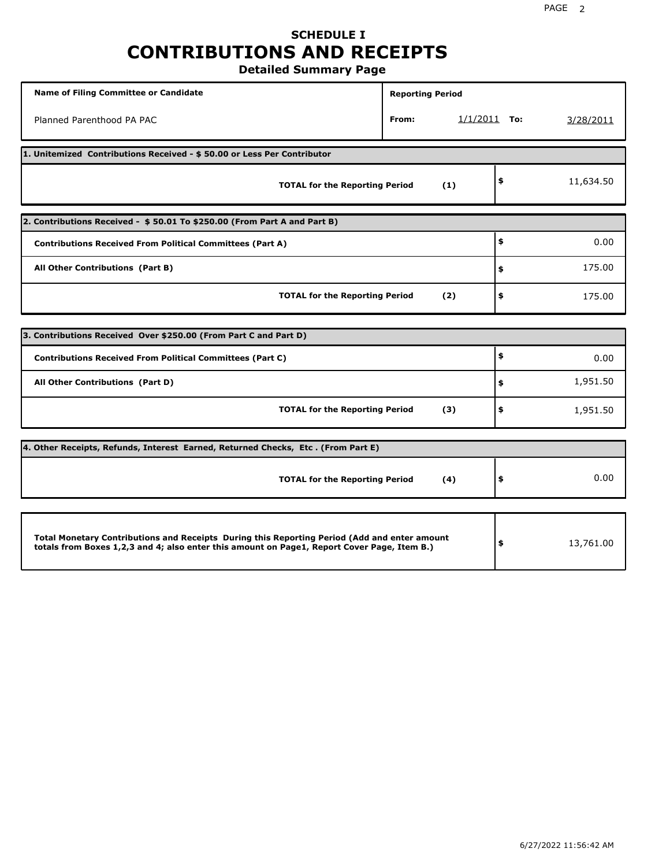# **SCHEDULE I CONTRIBUTIONS AND RECEIPTS**

**Detailed Summary Page**

| <b>Name of Filing Committee or Candidate</b>                                                                                                                                                | <b>Reporting Period</b> |                |           |
|---------------------------------------------------------------------------------------------------------------------------------------------------------------------------------------------|-------------------------|----------------|-----------|
| Planned Parenthood PA PAC                                                                                                                                                                   | From:                   | $1/1/2011$ To: | 3/28/2011 |
| 1. Unitemized Contributions Received - \$50.00 or Less Per Contributor                                                                                                                      |                         |                |           |
| <b>TOTAL for the Reporting Period</b>                                                                                                                                                       | (1)                     | \$             | 11,634.50 |
| 2. Contributions Received - \$50.01 To \$250.00 (From Part A and Part B)                                                                                                                    |                         |                |           |
| <b>Contributions Received From Political Committees (Part A)</b>                                                                                                                            |                         | \$             | 0.00      |
| All Other Contributions (Part B)                                                                                                                                                            |                         | \$             | 175.00    |
| <b>TOTAL for the Reporting Period</b>                                                                                                                                                       | (2)                     | \$             | 175.00    |
|                                                                                                                                                                                             |                         |                |           |
| 3. Contributions Received Over \$250.00 (From Part C and Part D)                                                                                                                            |                         | \$             |           |
| <b>Contributions Received From Political Committees (Part C)</b>                                                                                                                            |                         |                | 0.00      |
| All Other Contributions (Part D)                                                                                                                                                            |                         | \$             | 1,951.50  |
| <b>TOTAL for the Reporting Period</b>                                                                                                                                                       | (3)                     | \$             | 1,951.50  |
| 4. Other Receipts, Refunds, Interest Earned, Returned Checks, Etc. (From Part E)                                                                                                            |                         |                |           |
| <b>TOTAL for the Reporting Period</b>                                                                                                                                                       | (4)                     | \$             | 0.00      |
|                                                                                                                                                                                             |                         |                |           |
| Total Monetary Contributions and Receipts During this Reporting Period (Add and enter amount<br>totals from Boxes 1,2,3 and 4; also enter this amount on Page1, Report Cover Page, Item B.) |                         | \$             | 13,761.00 |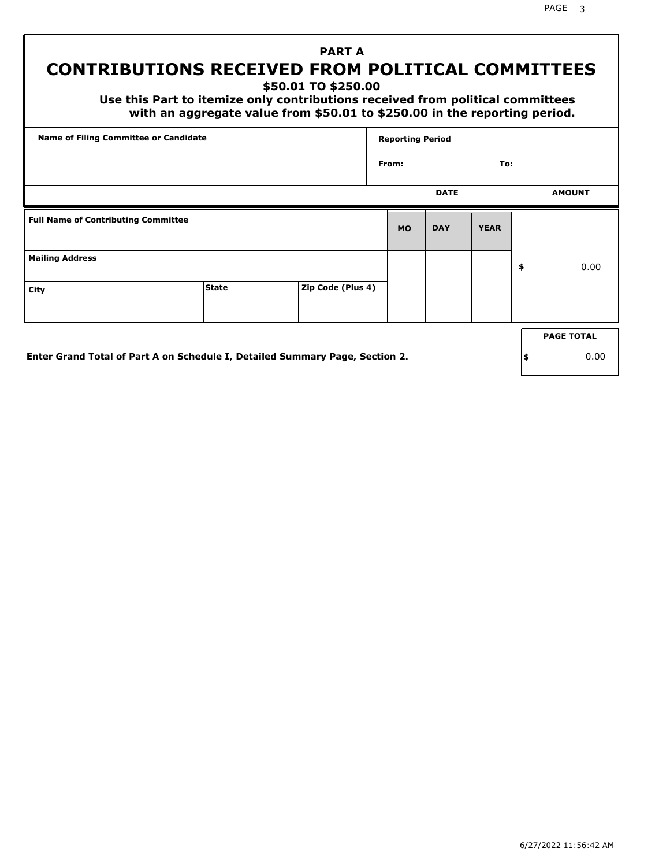PAGE 3

# **PART A CONTRIBUTIONS RECEIVED FROM POLITICAL COMMITTEES**

**\$50.01 TO \$250.00**

 **Use this Part to itemize only contributions received from political committees with an aggregate value from \$50.01 to \$250.00 in the reporting period.**

| Name of Filing Committee or Candidate      |              |                   | <b>Reporting Period</b> |             |             |    |                   |  |
|--------------------------------------------|--------------|-------------------|-------------------------|-------------|-------------|----|-------------------|--|
|                                            |              |                   | From:                   |             | To:         |    |                   |  |
|                                            |              |                   |                         | <b>DATE</b> |             |    | <b>AMOUNT</b>     |  |
| <b>Full Name of Contributing Committee</b> |              |                   | <b>MO</b>               | <b>DAY</b>  | <b>YEAR</b> |    |                   |  |
| <b>Mailing Address</b>                     |              |                   |                         |             |             | \$ | 0.00              |  |
| City                                       | <b>State</b> | Zip Code (Plus 4) |                         |             |             |    |                   |  |
|                                            |              |                   |                         |             |             |    | <b>PAGE TOTAL</b> |  |
|                                            |              |                   |                         |             |             |    |                   |  |

**Enter Grand Total of Part A on Schedule I, Detailed Summary Page, Section 2.**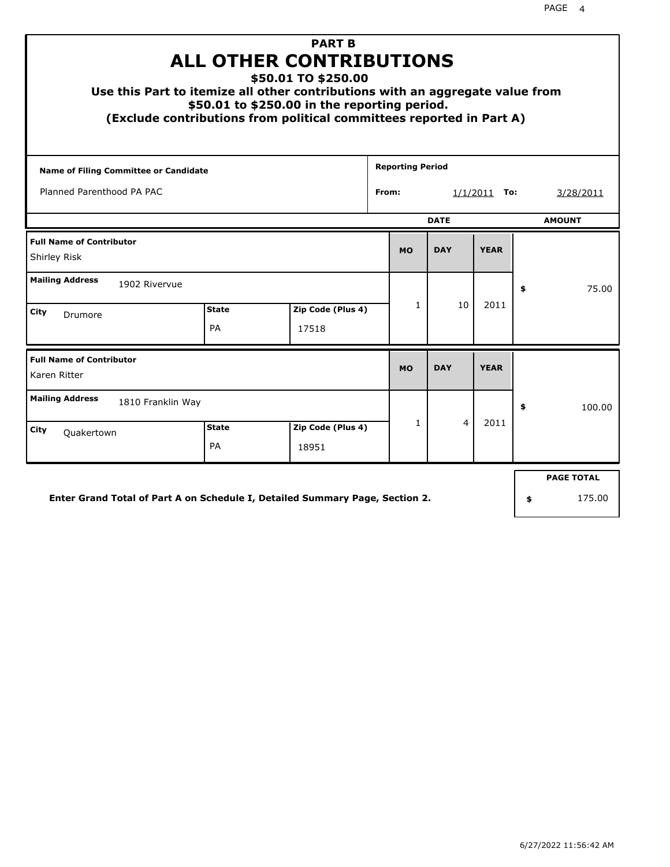| <b>PART B</b><br><b>ALL OTHER CONTRIBUTIONS</b><br>\$50.01 TO \$250.00<br>Use this Part to itemize all other contributions with an aggregate value from<br>\$50.01 to \$250.00 in the reporting period.<br>(Exclude contributions from political committees reported in Part A) |                           |                            |  |                         |                         |             |    |                             |  |
|---------------------------------------------------------------------------------------------------------------------------------------------------------------------------------------------------------------------------------------------------------------------------------|---------------------------|----------------------------|--|-------------------------|-------------------------|-------------|----|-----------------------------|--|
| Name of Filing Committee or Candidate                                                                                                                                                                                                                                           |                           |                            |  | <b>Reporting Period</b> |                         |             |    |                             |  |
| Planned Parenthood PA PAC                                                                                                                                                                                                                                                       |                           |                            |  |                         | From:<br>$1/1/2011$ To: |             |    | 3/28/2011                   |  |
|                                                                                                                                                                                                                                                                                 |                           |                            |  |                         | <b>DATE</b>             |             |    | <b>AMOUNT</b>               |  |
| <b>Full Name of Contributor</b><br>Shirley Risk                                                                                                                                                                                                                                 |                           |                            |  | <b>MO</b>               | <b>DAY</b>              | <b>YEAR</b> |    |                             |  |
| <b>Mailing Address</b><br>1902 Rivervue                                                                                                                                                                                                                                         |                           |                            |  |                         |                         |             | \$ | 75.00                       |  |
| City<br>Drumore                                                                                                                                                                                                                                                                 | <b>State</b><br>PA        | Zip Code (Plus 4)<br>17518 |  | $\mathbf{1}$            | 10                      | 2011        |    |                             |  |
| <b>Full Name of Contributor</b><br>Karen Ritter                                                                                                                                                                                                                                 |                           |                            |  | <b>MO</b>               | <b>DAY</b>              | <b>YEAR</b> |    |                             |  |
| <b>Mailing Address</b><br>1810 Franklin Way                                                                                                                                                                                                                                     |                           |                            |  |                         |                         |             | \$ | 100.00                      |  |
| City<br>Quakertown                                                                                                                                                                                                                                                              | <b>State</b><br><b>PA</b> | Zip Code (Plus 4)<br>18951 |  | $\mathbf{1}$            | 4                       | 2011        |    |                             |  |
| Enter Grand Total of Part A on Schedule I, Detailed Summary Page, Section 2.                                                                                                                                                                                                    |                           |                            |  |                         |                         |             | \$ | <b>PAGE TOTAL</b><br>175.00 |  |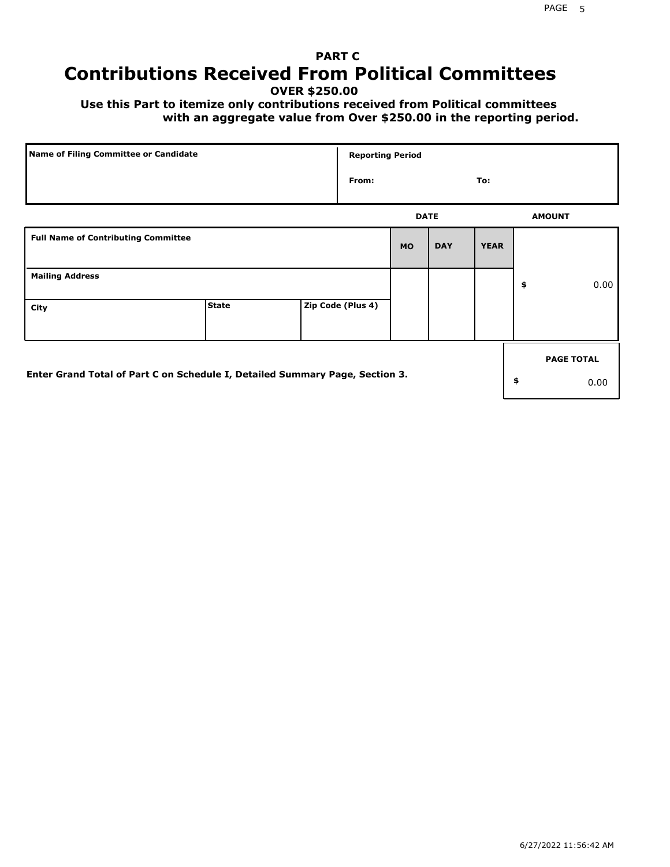# **PART C Contributions Received From Political Committees**

**OVER \$250.00**

 **Use this Part to itemize only contributions received from Political committees with an aggregate value from Over \$250.00 in the reporting period.**

| Name of Filing Committee or Candidate                                        |              | <b>Reporting Period</b> |             |            |             |                   |
|------------------------------------------------------------------------------|--------------|-------------------------|-------------|------------|-------------|-------------------|
|                                                                              |              | From:                   |             |            | To:         |                   |
|                                                                              |              |                         | <b>DATE</b> |            |             | <b>AMOUNT</b>     |
| <b>Full Name of Contributing Committee</b>                                   |              |                         | <b>MO</b>   | <b>DAY</b> | <b>YEAR</b> |                   |
| <b>Mailing Address</b>                                                       |              |                         |             |            |             | \$<br>0.00        |
| City                                                                         | <b>State</b> | Zip Code (Plus 4)       |             |            |             |                   |
|                                                                              |              |                         |             |            |             | <b>PAGE TOTAL</b> |
| Enter Grand Total of Part C on Schedule I, Detailed Summary Page, Section 3. |              |                         |             |            |             | \$<br>0.00        |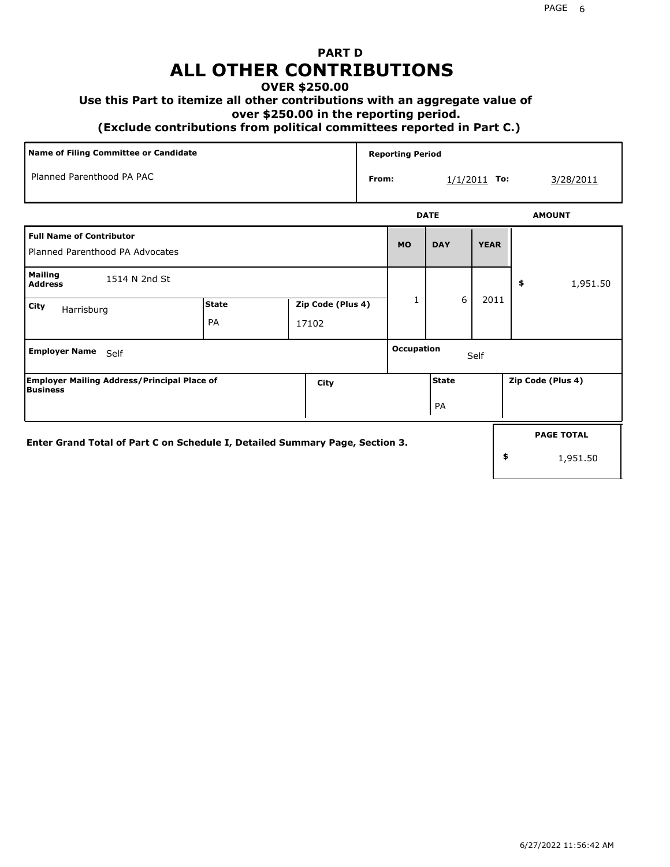# **PART D ALL OTHER CONTRIBUTIONS**

#### **OVER \$250.00**

#### **Use this Part to itemize all other contributions with an aggregate value of**

 **over \$250.00 in the reporting period.**

 **(Exclude contributions from political committees reported in Part C.)** 

| Name of Filing Committee or Candidate                                        |              |                   |  |                   | <b>Reporting Period</b> |                |                   |
|------------------------------------------------------------------------------|--------------|-------------------|--|-------------------|-------------------------|----------------|-------------------|
| Planned Parenthood PA PAC                                                    |              |                   |  | From:             |                         | $1/1/2011$ To: | 3/28/2011         |
|                                                                              |              |                   |  |                   | <b>DATE</b>             |                | <b>AMOUNT</b>     |
| <b>Full Name of Contributor</b><br>Planned Parenthood PA Advocates           |              |                   |  | <b>MO</b>         | <b>DAY</b>              | <b>YEAR</b>    |                   |
| <b>Mailing</b><br>1514 N 2nd St<br><b>Address</b>                            |              |                   |  |                   |                         |                | 1,951.50<br>\$    |
| City<br>Harrisburg                                                           | <b>State</b> | Zip Code (Plus 4) |  | 1                 | 6                       | 2011           |                   |
|                                                                              | PA           | 17102             |  |                   |                         |                |                   |
| <b>Employer Name</b><br>Self                                                 |              |                   |  | <b>Occupation</b> |                         | Self           |                   |
| <b>Employer Mailing Address/Principal Place of</b><br><b>Business</b>        |              | City              |  |                   | <b>State</b>            |                | Zip Code (Plus 4) |
|                                                                              |              |                   |  |                   | PA                      |                |                   |
| Enter Grand Total of Part C on Schedule I, Detailed Summary Page, Section 3. |              |                   |  |                   |                         |                | <b>PAGE TOTAL</b> |
|                                                                              |              |                   |  |                   |                         |                | \$<br>1,951.50    |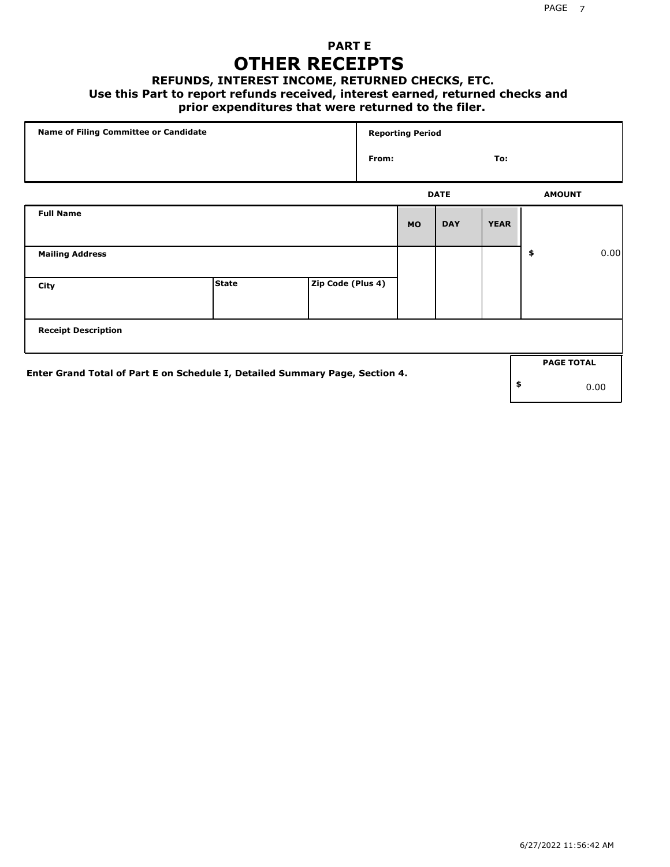## **PART E OTHER RECEIPTS**

#### **REFUNDS, INTEREST INCOME, RETURNED CHECKS, ETC.**

 **Use this Part to report refunds received, interest earned, returned checks and**

## **prior expenditures that were returned to the filer.**

| Name of Filing Committee or Candidate                                        |              |                   |       | <b>Reporting Period</b> |             |             |                   |      |
|------------------------------------------------------------------------------|--------------|-------------------|-------|-------------------------|-------------|-------------|-------------------|------|
|                                                                              |              |                   | From: |                         |             | To:         |                   |      |
|                                                                              |              |                   |       |                         | <b>DATE</b> |             | <b>AMOUNT</b>     |      |
| <b>Full Name</b>                                                             |              |                   |       | <b>MO</b>               | <b>DAY</b>  | <b>YEAR</b> |                   |      |
| <b>Mailing Address</b>                                                       |              |                   |       |                         |             |             | \$                | 0.00 |
| City                                                                         | <b>State</b> | Zip Code (Plus 4) |       |                         |             |             |                   |      |
| <b>Receipt Description</b>                                                   |              |                   |       |                         |             |             |                   |      |
|                                                                              |              |                   |       |                         |             |             | <b>PAGE TOTAL</b> |      |
| Enter Grand Total of Part E on Schedule I, Detailed Summary Page, Section 4. |              |                   |       |                         |             |             | \$                | 0.00 |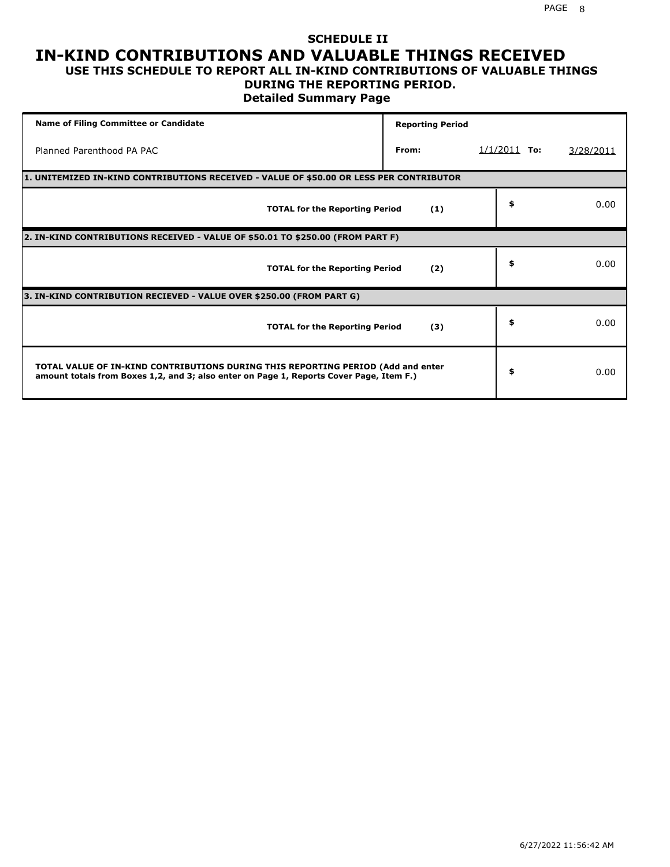#### **SCHEDULE II IN-KIND CONTRIBUTIONS AND VALUABLE THINGS RECEIVED USE THIS SCHEDULE TO REPORT ALL IN-KIND CONTRIBUTIONS OF VALUABLE THINGS**

# **DURING THE REPORTING PERIOD.**

**Detailed Summary Page**

| <b>Name of Filing Committee or Candidate</b>                                                                                                                                | <b>Reporting Period</b> |                |           |
|-----------------------------------------------------------------------------------------------------------------------------------------------------------------------------|-------------------------|----------------|-----------|
| Planned Parenthood PA PAC                                                                                                                                                   | From:                   | $1/1/2011$ To: | 3/28/2011 |
| 1. UNITEMIZED IN-KIND CONTRIBUTIONS RECEIVED - VALUE OF \$50.00 OR LESS PER CONTRIBUTOR                                                                                     |                         |                |           |
| <b>TOTAL for the Reporting Period</b>                                                                                                                                       | (1)                     | \$             | 0.00      |
| 2. IN-KIND CONTRIBUTIONS RECEIVED - VALUE OF \$50.01 TO \$250.00 (FROM PART F)                                                                                              |                         |                |           |
| <b>TOTAL for the Reporting Period</b>                                                                                                                                       | (2)                     | \$             | 0.00      |
| 3. IN-KIND CONTRIBUTION RECIEVED - VALUE OVER \$250.00 (FROM PART G)                                                                                                        |                         |                |           |
| <b>TOTAL for the Reporting Period</b>                                                                                                                                       | (3)                     | \$             | 0.00      |
| TOTAL VALUE OF IN-KIND CONTRIBUTIONS DURING THIS REPORTING PERIOD (Add and enter<br>amount totals from Boxes 1,2, and 3; also enter on Page 1, Reports Cover Page, Item F.) |                         | \$             | 0.00      |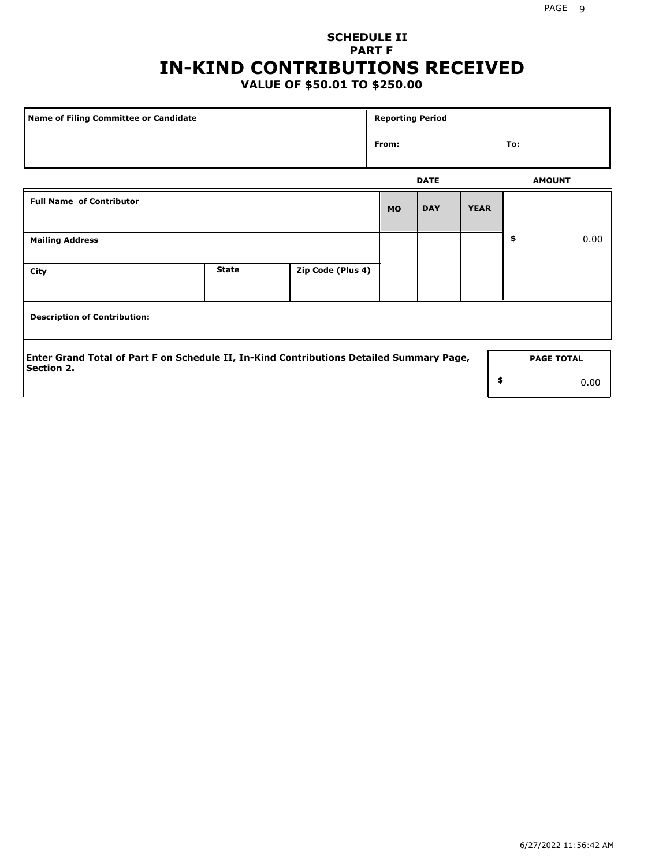## **SCHEDULE II PART F IN-KIND CONTRIBUTIONS RECEIVED**

## **VALUE OF \$50.01 TO \$250.00**

| Name of Filing Committee or Candidate                                                                         |              |                   | <b>Reporting Period</b> |             |             |                   |      |
|---------------------------------------------------------------------------------------------------------------|--------------|-------------------|-------------------------|-------------|-------------|-------------------|------|
| From:                                                                                                         |              |                   |                         |             |             | To:               |      |
|                                                                                                               |              |                   |                         | <b>DATE</b> |             | <b>AMOUNT</b>     |      |
| <b>Full Name of Contributor</b>                                                                               |              |                   | <b>MO</b>               | <b>DAY</b>  | <b>YEAR</b> |                   |      |
| <b>Mailing Address</b>                                                                                        |              |                   |                         |             |             | \$                | 0.00 |
| City                                                                                                          | <b>State</b> | Zip Code (Plus 4) |                         |             |             |                   |      |
| <b>Description of Contribution:</b>                                                                           |              |                   |                         |             |             |                   |      |
| Enter Grand Total of Part F on Schedule II, In-Kind Contributions Detailed Summary Page,<br><b>Section 2.</b> |              |                   |                         |             |             | <b>PAGE TOTAL</b> |      |
|                                                                                                               |              |                   |                         |             | \$          |                   | 0.00 |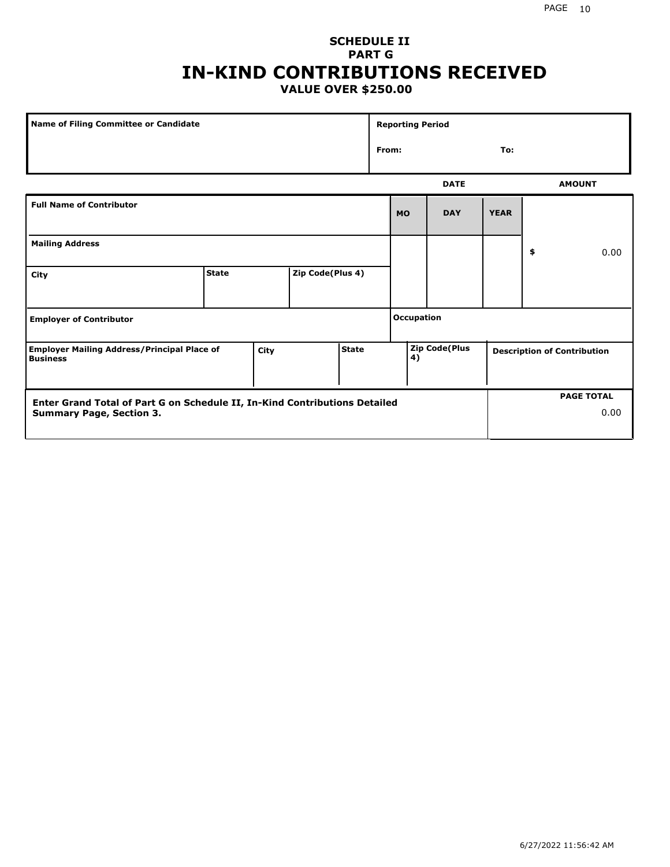### **SCHEDULE II PART G IN-KIND CONTRIBUTIONS RECEIVED VALUE OVER \$250.00**

| Name of Filing Committee or Candidate                                                         |              |  |                  |  | <b>Reporting Period</b> |                      |             |             |                                    |               |
|-----------------------------------------------------------------------------------------------|--------------|--|------------------|--|-------------------------|----------------------|-------------|-------------|------------------------------------|---------------|
|                                                                                               |              |  |                  |  | From:<br>To:            |                      |             |             |                                    |               |
|                                                                                               |              |  |                  |  |                         |                      | <b>DATE</b> |             |                                    | <b>AMOUNT</b> |
| <b>Full Name of Contributor</b>                                                               |              |  |                  |  |                         | <b>MO</b>            | <b>DAY</b>  | <b>YEAR</b> |                                    |               |
| <b>Mailing Address</b>                                                                        |              |  |                  |  |                         |                      |             |             | \$                                 | 0.00          |
| City                                                                                          | <b>State</b> |  | Zip Code(Plus 4) |  |                         |                      |             |             |                                    |               |
| <b>Employer of Contributor</b>                                                                |              |  |                  |  | <b>Occupation</b>       |                      |             |             |                                    |               |
| <b>State</b><br><b>Employer Mailing Address/Principal Place of</b><br>City<br><b>Business</b> |              |  |                  |  | 4)                      | <b>Zip Code(Plus</b> |             |             | <b>Description of Contribution</b> |               |

| <b>Enter Grand Total of Part G on Schedule II, In-Kind Contributions Detailed</b> |  | <b>PAGE TOTAL</b> |
|-----------------------------------------------------------------------------------|--|-------------------|
| <b>Summary Page, Section 3.</b>                                                   |  | 0.00              |
|                                                                                   |  |                   |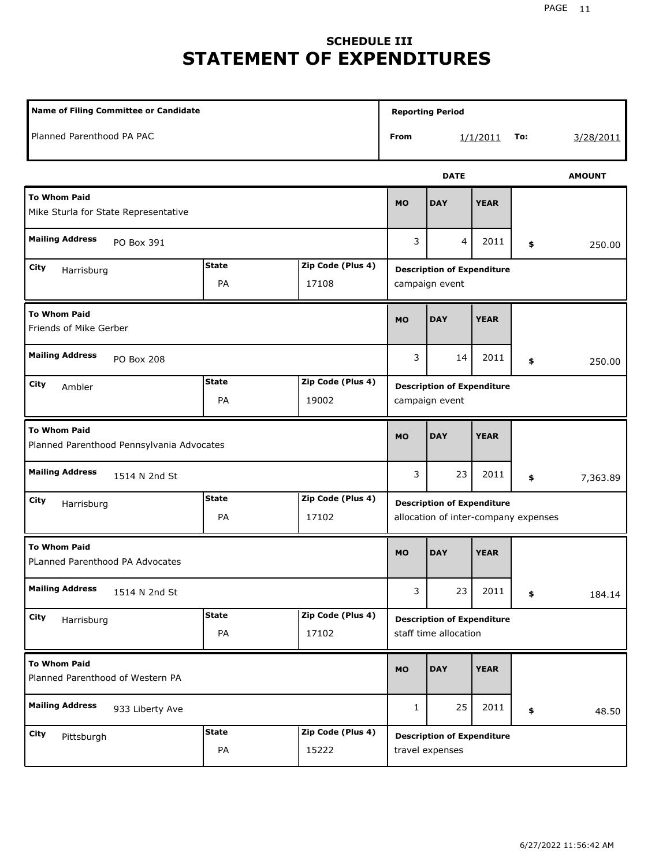# **SCHEDULE III STATEMENT OF EXPENDITURES**

| Name of Filing Committee or Candidate                              |                    |                            |              | <b>Reporting Period</b>                                                   |             |     |               |  |
|--------------------------------------------------------------------|--------------------|----------------------------|--------------|---------------------------------------------------------------------------|-------------|-----|---------------|--|
| Planned Parenthood PA PAC                                          |                    |                            | From         |                                                                           | 1/1/2011    | To: | 3/28/2011     |  |
|                                                                    |                    |                            |              | <b>DATE</b>                                                               |             |     | <b>AMOUNT</b> |  |
| <b>To Whom Paid</b><br>Mike Sturla for State Representative        |                    |                            | <b>MO</b>    | <b>DAY</b>                                                                | <b>YEAR</b> |     |               |  |
| <b>Mailing Address</b><br>PO Box 391                               |                    |                            | 3            | 4                                                                         | 2011        | \$  | 250.00        |  |
| City<br>Harrisburg                                                 | <b>State</b><br>PA | Zip Code (Plus 4)<br>17108 |              | <b>Description of Expenditure</b><br>campaign event                       |             |     |               |  |
| <b>To Whom Paid</b><br>Friends of Mike Gerber                      |                    |                            | <b>MO</b>    | <b>DAY</b>                                                                | <b>YEAR</b> |     |               |  |
| <b>Mailing Address</b><br><b>PO Box 208</b>                        |                    |                            | 3            | 14                                                                        | 2011        | \$  | 250.00        |  |
| <b>State</b><br>Zip Code (Plus 4)<br>City<br>Ambler<br>PA<br>19002 |                    |                            |              | <b>Description of Expenditure</b><br>campaign event                       |             |     |               |  |
| <b>To Whom Paid</b><br>Planned Parenthood Pennsylvania Advocates   |                    |                            | <b>MO</b>    | <b>DAY</b>                                                                | <b>YEAR</b> |     |               |  |
| <b>Mailing Address</b><br>1514 N 2nd St                            |                    |                            | 3            | 23                                                                        | 2011        | \$  | 7,363.89      |  |
| City<br>Harrisburg                                                 | <b>State</b><br>PA | Zip Code (Plus 4)<br>17102 |              | <b>Description of Expenditure</b><br>allocation of inter-company expenses |             |     |               |  |
| <b>To Whom Paid</b><br>PLanned Parenthood PA Advocates             |                    |                            | <b>MO</b>    | <b>DAY</b>                                                                | <b>YEAR</b> |     |               |  |
| <b>Mailing Address</b><br>1514 N 2nd St                            |                    |                            | 3            | 23                                                                        | 2011        | \$  | 184.14        |  |
| City<br>Harrisburg                                                 | <b>State</b><br>PA | Zip Code (Plus 4)<br>17102 |              | <b>Description of Expenditure</b><br>staff time allocation                |             |     |               |  |
| <b>To Whom Paid</b><br>Planned Parenthood of Western PA            |                    |                            | <b>MO</b>    | <b>DAY</b>                                                                | <b>YEAR</b> |     |               |  |
| <b>Mailing Address</b><br>933 Liberty Ave                          |                    |                            | $\mathbf{1}$ | 25                                                                        | 2011        | \$  | 48.50         |  |
| City<br>Pittsburgh                                                 | <b>State</b><br>PA | Zip Code (Plus 4)<br>15222 |              | <b>Description of Expenditure</b><br>travel expenses                      |             |     |               |  |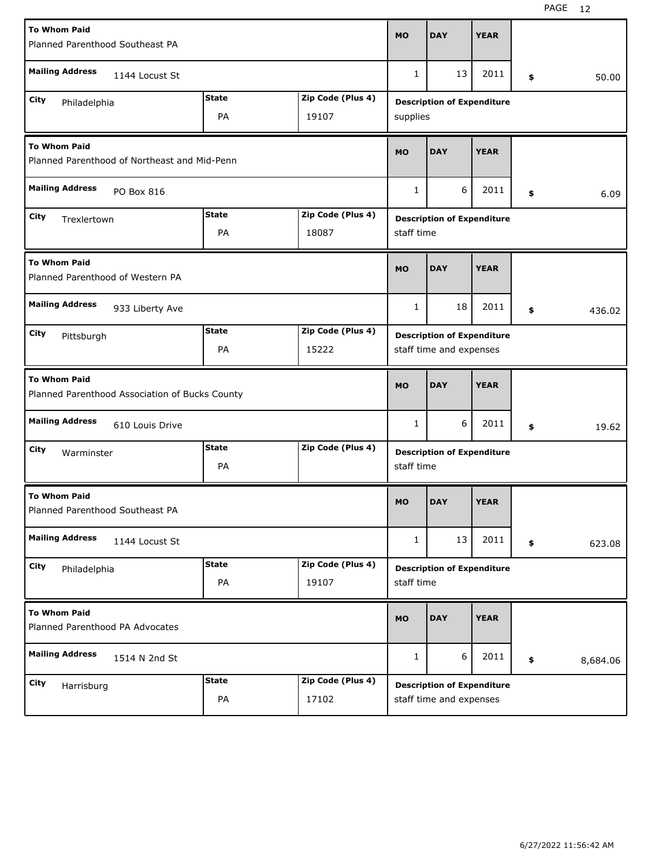| <b>To Whom Paid</b>                                                   |              |                         | <b>MO</b>                         | <b>DAY</b>                        | <b>YEAR</b> |    |          |
|-----------------------------------------------------------------------|--------------|-------------------------|-----------------------------------|-----------------------------------|-------------|----|----------|
| Planned Parenthood Southeast PA                                       |              |                         |                                   |                                   |             |    |          |
| <b>Mailing Address</b><br>1144 Locust St                              |              |                         |                                   | 13                                | 2011        | \$ | 50.00    |
| City<br>Philadelphia                                                  | <b>State</b> | Zip Code (Plus 4)       | <b>Description of Expenditure</b> |                                   |             |    |          |
|                                                                       | PA           | 19107                   | supplies                          |                                   |             |    |          |
| <b>To Whom Paid</b><br>Planned Parenthood of Northeast and Mid-Penn   |              |                         |                                   | <b>DAY</b>                        | <b>YEAR</b> |    |          |
| <b>Mailing Address</b><br>PO Box 816                                  |              |                         | $\mathbf{1}$                      | 6                                 | 2011        | \$ | 6.09     |
| City<br>Trexlertown                                                   | <b>State</b> | Zip Code (Plus 4)       |                                   | <b>Description of Expenditure</b> |             |    |          |
|                                                                       | PA           | 18087                   |                                   | staff time                        |             |    |          |
| <b>To Whom Paid</b><br>Planned Parenthood of Western PA               |              |                         |                                   | <b>DAY</b>                        | <b>YEAR</b> |    |          |
| <b>Mailing Address</b><br>933 Liberty Ave                             |              |                         | 1                                 | 18                                | 2011        | \$ | 436.02   |
| City<br>Pittsburgh                                                    | <b>State</b> | Zip Code (Plus 4)       | <b>Description of Expenditure</b> |                                   |             |    |          |
|                                                                       | 15222        | staff time and expenses |                                   |                                   |             |    |          |
| <b>To Whom Paid</b><br>Planned Parenthood Association of Bucks County |              |                         |                                   |                                   | <b>YEAR</b> |    |          |
|                                                                       |              |                         | <b>MO</b>                         | <b>DAY</b>                        |             |    |          |
| <b>Mailing Address</b><br>610 Louis Drive                             |              |                         | 1                                 | 6                                 | 2011        | \$ | 19.62    |
| City<br>Warminster                                                    | State        | Zip Code (Plus 4)       |                                   | <b>Description of Expenditure</b> |             |    |          |
|                                                                       | PA           |                         | staff time                        |                                   |             |    |          |
| <b>To Whom Paid</b><br>Planned Parenthood Southeast PA                |              |                         | <b>MO</b>                         | <b>DAY</b>                        | <b>YEAR</b> |    |          |
| <b>Mailing Address</b><br>1144 Locust St                              |              |                         | $\mathbf{1}$                      | 13                                | 2011        | \$ | 623.08   |
| City<br>Philadelphia                                                  | <b>State</b> | Zip Code (Plus 4)       |                                   | <b>Description of Expenditure</b> |             |    |          |
|                                                                       | PA           | 19107                   | staff time                        |                                   |             |    |          |
| <b>To Whom Paid</b><br>Planned Parenthood PA Advocates                |              |                         | <b>MO</b>                         | <b>DAY</b>                        | <b>YEAR</b> |    |          |
| <b>Mailing Address</b><br>1514 N 2nd St                               |              |                         | 1                                 | 6                                 | 2011        | \$ | 8,684.06 |
| City<br>Harrisburg                                                    | <b>State</b> | Zip Code (Plus 4)       |                                   | <b>Description of Expenditure</b> |             |    |          |

H